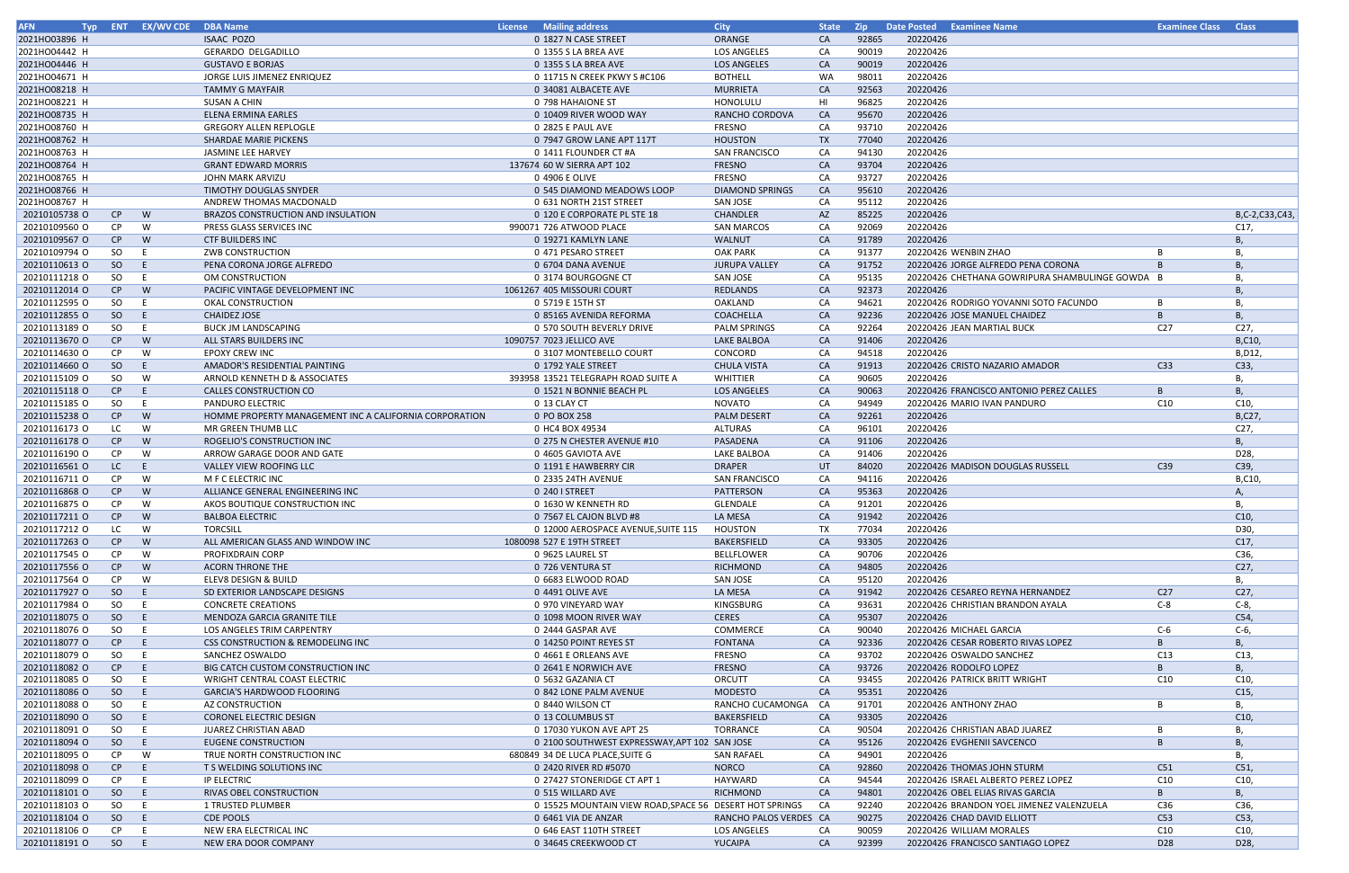| <b>AFN</b>    |               | Typ ENT EX/WV CDE | <b>DBA Name</b>                                        | <b>License</b> Mailing address                          | <b>City</b>            | <b>State</b> | <b>Zip</b> | Date Posted                | <b>Examinee Name</b>                            | <b>Examinee Class Class</b> |                 |
|---------------|---------------|-------------------|--------------------------------------------------------|---------------------------------------------------------|------------------------|--------------|------------|----------------------------|-------------------------------------------------|-----------------------------|-----------------|
| 2021HO03896 H |               |                   | <b>ISAAC POZO</b>                                      | 0 1827 N CASE STREET                                    | ORANGE                 | <b>CA</b>    | 92865      | 20220426                   |                                                 |                             |                 |
| 2021HO04442 H |               |                   | GERARDO DELGADILLO                                     | 0 1355 S LA BREA AVE                                    | <b>LOS ANGELES</b>     | CA           | 90019      | 20220426                   |                                                 |                             |                 |
| 2021HO04446 H |               |                   | <b>GUSTAVO E BORJAS</b>                                | 0 1355 S LA BREA AVE                                    | <b>LOS ANGELES</b>     | CA           | 90019      | 20220426                   |                                                 |                             |                 |
| 2021HO04671 H |               |                   | JORGE LUIS JIMENEZ ENRIQUEZ                            | 0 11715 N CREEK PKWY S #C106                            | <b>BOTHELL</b>         | WA           | 98011      | 20220426                   |                                                 |                             |                 |
| 2021HO08218 H |               |                   | <b>TAMMY G MAYFAIR</b>                                 | 0 34081 ALBACETE AVE                                    | <b>MURRIETA</b>        | <b>CA</b>    | 92563      | 20220426                   |                                                 |                             |                 |
| 2021HO08221 H |               |                   | SUSAN A CHIN                                           | 0 798 HAHAIONE ST                                       | HONOLULU               | HI           | 96825      | 20220426                   |                                                 |                             |                 |
| 2021HO08735 H |               |                   | <b>ELENA ERMINA EARLES</b>                             | 0 10409 RIVER WOOD WAY                                  | RANCHO CORDOVA         | CA           | 95670      | 20220426                   |                                                 |                             |                 |
| 2021HO08760 H |               |                   | <b>GREGORY ALLEN REPLOGLE</b>                          | 0 2825 E PAUL AVE                                       | <b>FRESNO</b>          | CA           | 93710      | 20220426                   |                                                 |                             |                 |
| 2021HO08762 H |               |                   | <b>SHARDAE MARIE PICKENS</b>                           | 0 7947 GROW LANE APT 117T                               | <b>HOUSTON</b>         | TX           | 77040      | 20220426                   |                                                 |                             |                 |
| 2021HO08763 H |               |                   | JASMINE LEE HARVEY                                     | 0 1411 FLOUNDER CT #A                                   | <b>SAN FRANCISCO</b>   | CA           | 94130      | 20220426                   |                                                 |                             |                 |
| 2021HO08764 H |               |                   | <b>GRANT EDWARD MORRIS</b>                             | 137674 60 W SIERRA APT 102                              | <b>FRESNO</b>          | CA           | 93704      | 20220426                   |                                                 |                             |                 |
| 2021HO08765 H |               |                   | JOHN MARK ARVIZU                                       | 0 4906 E OLIVE                                          | <b>FRESNO</b>          | CA           | 93727      | 20220426                   |                                                 |                             |                 |
| 2021HO08766 H |               |                   | TIMOTHY DOUGLAS SNYDER                                 | 0 545 DIAMOND MEADOWS LOOP                              | <b>DIAMOND SPRINGS</b> | CA           | 95610      | 20220426                   |                                                 |                             |                 |
| 2021HO08767 H |               |                   | ANDREW THOMAS MACDONALD                                | 0 631 NORTH 21ST STREET                                 | SAN JOSE               | CA           | 95112      | 20220426                   |                                                 |                             |                 |
| 20210105738 O | CP            | W                 | BRAZOS CONSTRUCTION AND INSULATION                     | 0 120 E CORPORATE PL STE 18                             | <b>CHANDLER</b>        | AZ           | 85225      | 20220426                   |                                                 |                             | B,C-2,C33,C43,  |
| 20210109560 O | CP            | W                 | PRESS GLASS SERVICES INC                               | 990071 726 ATWOOD PLACE                                 | <b>SAN MARCOS</b>      | CA           | 92069      | 20220426                   |                                                 |                             | C17,            |
| 20210109567 O | CP            | W                 | <b>CTF BUILDERS INC</b>                                | 0 19271 KAMLYN LANE                                     | <b>WALNUT</b>          | <b>CA</b>    | 91789      | 20220426                   |                                                 |                             | <b>B.</b>       |
| 20210109794 O | SO.           | E                 | ZWB CONSTRUCTION                                       | 0 471 PESARO STREET                                     | <b>OAK PARK</b>        | CA           | 91377      | 20220426 WENBIN ZHAO       |                                                 |                             | В,              |
| 20210110613 O | <sub>SO</sub> | E.                | PENA CORONA JORGE ALFREDO                              | 0 6704 DANA AVENUE                                      | <b>JURUPA VALLEY</b>   | CA           | 91752      |                            | 20220426 JORGE ALFREDO PENA CORONA              |                             | B.              |
| 20210111218 O | SO            | E.                | OM CONSTRUCTION                                        | 0 3174 BOURGOGNE CT                                     | <b>SAN JOSE</b>        | CA           | 95135      |                            | 20220426 CHETHANA GOWRIPURA SHAMBULINGE GOWDA B |                             | В,              |
| 20210112014 O | CP            | W                 | PACIFIC VINTAGE DEVELOPMENT INC                        | 1061267 405 MISSOURI COURT                              | <b>REDLANDS</b>        | CA           | 92373      | 20220426                   |                                                 |                             |                 |
| 20210112595 O | <b>SO</b>     | E.                | OKAL CONSTRUCTION                                      | 0 5719 E 15TH ST                                        | OAKLAND                | CA           | 94621      |                            | 20220426 RODRIGO YOVANNI SOTO FACUNDO           |                             | Β,              |
| 20210112855 O | <sub>SO</sub> | E                 | <b>CHAIDEZ JOSE</b>                                    | 0 85165 AVENIDA REFORMA                                 | COACHELLA              | CA           | 92236      |                            | 20220426 JOSE MANUEL CHAIDEZ                    | B                           | В,              |
| 20210113189 O | <b>SO</b>     | E.                | <b>BUCK JM LANDSCAPING</b>                             | 0 570 SOUTH BEVERLY DRIVE                               | <b>PALM SPRINGS</b>    | CA           | 92264      | 20220426 JEAN MARTIAL BUCK |                                                 | C <sub>27</sub>             | C27,            |
| 20210113670 O | CP            | W                 | ALL STARS BUILDERS INC                                 | 1090757 7023 JELLICO AVE                                | <b>LAKE BALBOA</b>     | CA           | 91406      | 20220426                   |                                                 |                             | B,C10,          |
| 20210114630 O | CP            | W                 | EPOXY CREW INC                                         | 0 3107 MONTEBELLO COURT                                 | CONCORD                | CA           | 94518      | 20220426                   |                                                 |                             | B, D12,         |
| 20210114660 O | SO            | E                 | AMADOR'S RESIDENTIAL PAINTING                          | 0 1792 YALE STREET                                      | <b>CHULA VISTA</b>     | <b>CA</b>    | 91913      |                            | 20220426 CRISTO NAZARIO AMADOR                  | C <sub>33</sub>             | C33,            |
|               |               | W                 |                                                        |                                                         | WHITTIER               | CA           | 90605      | 20220426                   |                                                 |                             |                 |
| 20210115109 O | SO.           | E                 | ARNOLD KENNETH D & ASSOCIATES                          | 393958 13521 TELEGRAPH ROAD SUITE A                     |                        |              |            |                            |                                                 | B                           | В,              |
| 20210115118 O | CP            |                   | CALLES CONSTRUCTION CO                                 | 0 1521 N BONNIE BEACH PL                                | <b>LOS ANGELES</b>     | <b>CA</b>    | 90063      |                            | 20220426 FRANCISCO ANTONIO PEREZ CALLES         |                             | В,              |
| 20210115185 O | SO            | E.                | PANDURO ELECTRIC                                       | 0 13 CLAY CT                                            | NOVATO                 | CA           | 94949      |                            | 20220426 MARIO IVAN PANDURO                     | C10                         | C10,            |
| 20210115238 O | CP            | W                 | HOMME PROPERTY MANAGEMENT INC A CALIFORNIA CORPORATION | 0 PO BOX 258                                            | <b>PALM DESERT</b>     | <b>CA</b>    | 92261      | 20220426                   |                                                 |                             | B,C27,          |
| 20210116173 O | LC            | W                 | MR GREEN THUMB LLC                                     | 0 HC4 BOX 49534                                         | <b>ALTURAS</b>         | CA           | 96101      | 20220426                   |                                                 |                             | C27,            |
| 20210116178 O | CP            | W                 | ROGELIO'S CONSTRUCTION INC                             | 0 275 N CHESTER AVENUE #10                              | PASADENA               | CA           | 91106      | 20220426                   |                                                 |                             | <b>B</b> ,      |
| 20210116190 O | CP.           | W                 | ARROW GARAGE DOOR AND GATE                             | 0 4605 GAVIOTA AVE                                      | LAKE BALBOA            | CA           | 91406      | 20220426                   |                                                 |                             | D <sub>28</sub> |
| 20210116561 O | LC.           | E                 | VALLEY VIEW ROOFING LLC                                | 0 1191 E HAWBERRY CIR                                   | <b>DRAPER</b>          | UT           | 84020      |                            | 20220426 MADISON DOUGLAS RUSSELL                | C39                         | C39,            |
| 20210116711 0 | CP            | W                 | M F C ELECTRIC INC                                     | 0 2335 24TH AVENUE                                      | <b>SAN FRANCISCO</b>   | CA           | 94116      | 20220426                   |                                                 |                             | B,C10,          |
| 20210116868 O | CP            | W                 | ALLIANCE GENERAL ENGINEERING INC                       | 0 240 I STREET                                          | PATTERSON              | CA           | 95363      | 20220426                   |                                                 |                             |                 |
| 20210116875 O | CP.           | W                 | AKOS BOUTIQUE CONSTRUCTION INC                         | 0 1630 W KENNETH RD                                     | GLENDALE               | CA           | 91201      | 20220426                   |                                                 |                             | В,              |
| 20210117211 0 | CP            | W                 | <b>BALBOA ELECTRIC</b>                                 | 0 7567 EL CAJON BLVD #8                                 | LA MESA                | CA           | 91942      | 20220426                   |                                                 |                             | C10,            |
| 20210117212 O | LC            | W                 | <b>TORCSILL</b>                                        | 0 12000 AEROSPACE AVENUE, SUITE 115                     | <b>HOUSTON</b>         | TX           | 77034      | 20220426                   |                                                 |                             | D30,            |
| 20210117263 O | CP            | W                 | ALL AMERICAN GLASS AND WINDOW INC                      | 1080098 527 E 19TH STREET                               | BAKERSFIELD            | <b>CA</b>    | 93305      | 20220426                   |                                                 |                             | C17,            |
| 20210117545 O | CP            | W                 | PROFIXDRAIN CORP                                       | 0 9625 LAUREL ST                                        | <b>BELLFLOWER</b>      | CA           | 90706      | 20220426                   |                                                 |                             | C36,            |
| 20210117556 O | CP            | W                 | <b>ACORN THRONE THE</b>                                | 0 726 VENTURA ST                                        | <b>RICHMOND</b>        | <b>CA</b>    | 94805      | 20220426                   |                                                 |                             | C27,            |
| 20210117564 O | CP            | W                 | ELEV8 DESIGN & BUILD                                   | 0 6683 ELWOOD ROAD                                      | <b>SAN JOSE</b>        | CA           | 95120      | 20220426                   |                                                 |                             | В,              |
| 20210117927 O | SO            | E.                | SD EXTERIOR LANDSCAPE DESIGNS                          | 0 4491 OLIVE AVE                                        | LA MESA                | CA           | 91942      |                            | 20220426 CESAREO REYNA HERNANDEZ                | C <sub>27</sub>             | C27,            |
| 20210117984 O | SO            | E                 | <b>CONCRETE CREATIONS</b>                              | 0 970 VINEYARD WAY                                      | KINGSBURG              | CA           | 93631      |                            | 20220426 CHRISTIAN BRANDON AYALA                | $C-8$                       | $C-8$ ,         |
| 20210118075 O | SO            | E                 | MENDOZA GARCIA GRANITE TILE                            | 0 1098 MOON RIVER WAY                                   | <b>CERES</b>           | <b>CA</b>    | 95307      | 20220426                   |                                                 |                             | C54             |
| 20210118076 O | SO            | E.                | LOS ANGELES TRIM CARPENTRY                             | 0 2444 GASPAR AVE                                       | COMMERCE               | CA           | 90040      | 20220426 MICHAEL GARCIA    |                                                 | $C-6$                       | $C-6$           |
| 20210118077 O | CP            | E.                | CSS CONSTRUCTION & REMODELING INC                      | 0 14250 POINT REYES ST                                  | <b>FONTANA</b>         | CA           | 92336      |                            | 20220426 CESAR ROBERTO RIVAS LOPEZ              | B                           | В,              |
| 20210118079 O | SO            | E.                | SANCHEZ OSWALDO                                        | 0 4661 E ORLEANS AVE                                    | FRESNO                 | CA           | 93702      | 20220426 OSWALDO SANCHEZ   |                                                 | C13                         | C13,            |
| 20210118082 O | CP            | E.                | BIG CATCH CUSTOM CONSTRUCTION INC                      | 0 2641 E NORWICH AVE                                    | <b>FRESNO</b>          | CA           | 93726      | 20220426 RODOLFO LOPEZ     |                                                 | B                           | <b>B</b> ,      |
| 20210118085 O | SO            | E.                | WRIGHT CENTRAL COAST ELECTRIC                          | 0 5632 GAZANIA CT                                       | ORCUTT                 | CA           | 93455      |                            | 20220426 PATRICK BRITT WRIGHT                   | C10                         | C10,            |
| 20210118086 O | <sub>SO</sub> | E.                | GARCIA'S HARDWOOD FLOORING                             | 0 842 LONE PALM AVENUE                                  | <b>MODESTO</b>         | CA           | 95351      | 20220426                   |                                                 |                             | C15,            |
| 20210118088 O | <b>SO</b>     | E.                | AZ CONSTRUCTION                                        | 0 8440 WILSON CT                                        | RANCHO CUCAMONGA       | CA           | 91701      | 20220426 ANTHONY ZHAO      |                                                 |                             | В,              |
| 20210118090 O | SO            | E.                | <b>CORONEL ELECTRIC DESIGN</b>                         | 0 13 COLUMBUS ST                                        | BAKERSFIELD            | <b>CA</b>    | 93305      | 20220426                   |                                                 |                             | C10,            |
| 20210118091 O | SO            | E.                | JUAREZ CHRISTIAN ABAD                                  | 0 17030 YUKON AVE APT 25                                | <b>TORRANCE</b>        | CA           | 90504      |                            | 20220426 CHRISTIAN ABAD JUAREZ                  | B                           | В,              |
| 20210118094 O | SO            | E.                | EUGENE CONSTRUCTION                                    | 0 2100 SOUTHWEST EXPRESSWAY, APT 102 SAN JOSE           |                        | CA           | 95126      |                            | 20220426 EVGHENII SAVCENCO                      | B                           | <b>B.</b>       |
| 20210118095 O | CP            | W                 | TRUE NORTH CONSTRUCTION INC                            | 680849 34 DE LUCA PLACE, SUITE G                        | SAN RAFAEL             | CA           | 94901      | 20220426                   |                                                 |                             | В,              |
| 20210118098 O | CP            | E                 | T S WELDING SOLUTIONS INC                              | 0 2420 RIVER RD #5070                                   | <b>NORCO</b>           | CA           | 92860      |                            | 20220426 THOMAS JOHN STURM                      | C51                         | C51             |
| 20210118099 O | CP            | E.                | <b>IP ELECTRIC</b>                                     | 0 27427 STONERIDGE CT APT 1                             | HAYWARD                | CA           | 94544      |                            | 20220426 ISRAEL ALBERTO PEREZ LOPEZ             | C10                         | C10,            |
| 20210118101 0 | SO            | E.                | RIVAS OBEL CONSTRUCTION                                | 0 515 WILLARD AVE                                       | <b>RICHMOND</b>        | CA           | 94801      |                            | 20220426 OBEL ELIAS RIVAS GARCIA                | B                           | <b>B</b> ,      |
| 20210118103 O | SO            | E.                | 1 TRUSTED PLUMBER                                      | 0 15525 MOUNTAIN VIEW ROAD, SPACE 56 DESERT HOT SPRINGS |                        | CA           | 92240      |                            | 20220426 BRANDON YOEL JIMENEZ VALENZUELA        | C36                         | C36,            |
| 20210118104 O | SO.           | E.                | <b>CDE POOLS</b>                                       | 0 6461 VIA DE ANZAR                                     | RANCHO PALOS VERDES CA |              | 90275      |                            | 20220426 CHAD DAVID ELLIOTT                     | C53                         | C53,            |
| 20210118106 O | CP.           | E.                | NEW ERA ELECTRICAL INC                                 | 0 646 EAST 110TH STREET                                 | LOS ANGELES            | CA           | 90059      | 20220426 WILLIAM MORALES   |                                                 | C10                         | C10,            |
| 20210118191 O | SO            | E                 | NEW ERA DOOR COMPANY                                   | 0 34645 CREEKWOOD CT                                    | YUCAIPA                | CA           | 92399      |                            | 20220426 FRANCISCO SANTIAGO LOPEZ               | D28                         | D28,            |
|               |               |                   |                                                        |                                                         |                        |              |            |                            |                                                 |                             |                 |